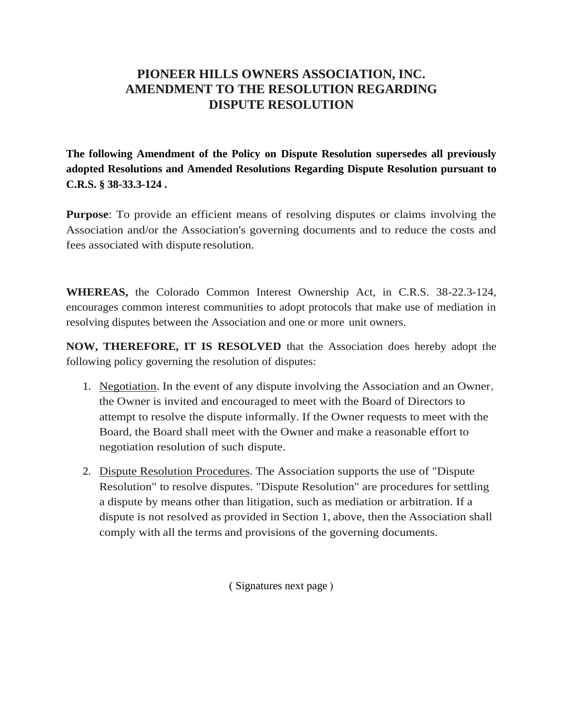## **PIONEER HILLS OWNERS ASSOCIATION, INC. AMENDMENT TO THE RESOLUTION REGARDING DISPUTE RESOLUTION**

**The following Amendment of the Policy on Dispute Resolution supersedes all previously adopted Resolutions and Amended Resolutions Regarding Dispute Resolution pursuant to C.R.S. § 38-33.3-124 .**

**Purpose**: To provide an efficient means of resolving disputes or claims involving the Association and/or the Association's governing documents and to reduce the costs and fees associated with dispute resolution.

**WHEREAS,** the Colorado Common Interest Ownership Act, in C.R.S. 38-22.3-124, encourages common interest communities to adopt protocols that make use of mediation in resolving disputes between the Association and one or more unit owners.

**NOW, THEREFORE, IT IS RESOLVED** that the Association does hereby adopt the following policy governing the resolution of disputes:

- 1. Negotiation. In the event of any dispute involving the Association and an Owner, the Owner is invited and encouraged to meet with the Board of Directors to attempt to resolve the dispute informally. If the Owner requests to meet with the Board, the Board shall meet with the Owner and make a reasonable effort to negotiation resolution of such dispute.
- 2. Dispute Resolution Procedures. The Association supports the use of "Dispute Resolution" to resolve disputes. "Dispute Resolution" are procedures for settling a dispute by means other than litigation, such as mediation or arbitration. If a dispute is not resolved as provided in Section 1, above, then the Association shall comply with all the terms and provisions of the governing documents.

( Signatures next page )